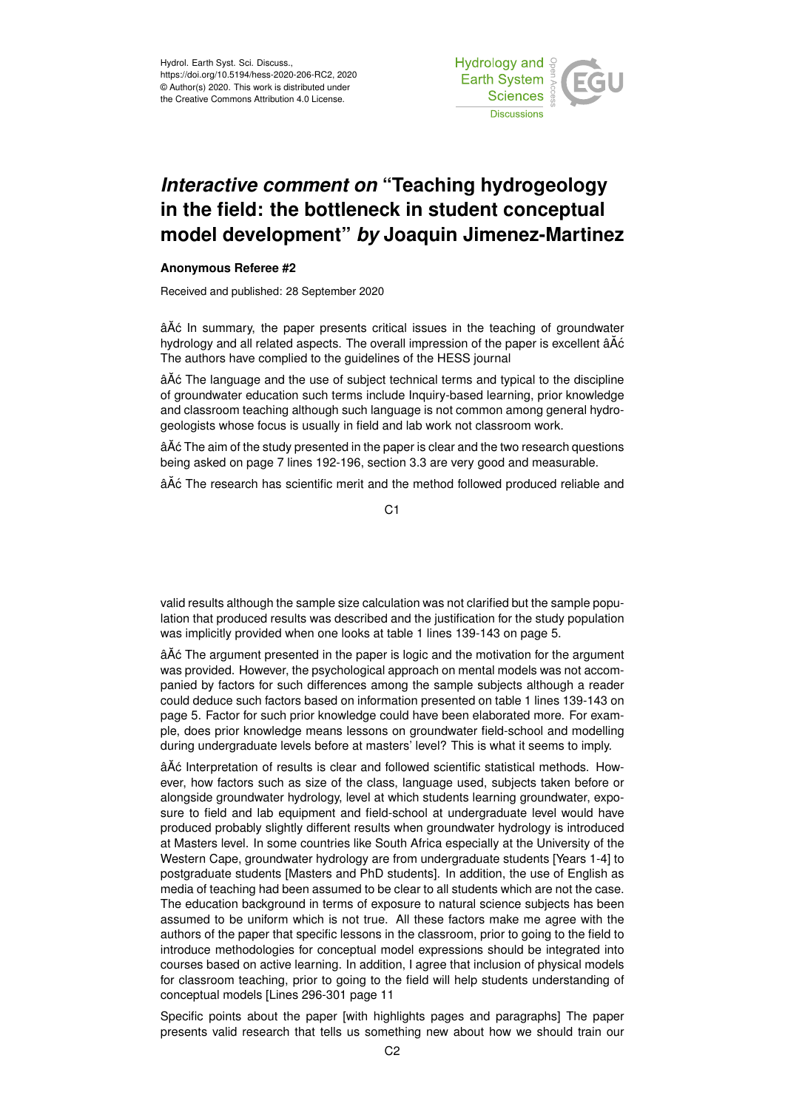

## *Interactive comment on* **"Teaching hydrogeology in the field: the bottleneck in student conceptual model development"** *by* **Joaquin Jimenez-Martinez**

## **Anonymous Referee #2**

Received and published: 28 September 2020

â $\tilde{A}$ c In summary, the paper presents critical issues in the teaching of groundwater hydrology and all related aspects. The overall impression of the paper is excellent âA $\acute{\text{o}}$ The authors have complied to the guidelines of the HESS journal

â $\tilde{A}$ ć The language and the use of subject technical terms and typical to the discipline of groundwater education such terms include Inquiry-based learning, prior knowledge and classroom teaching although such language is not common among general hydrogeologists whose focus is usually in field and lab work not classroom work.

âAٌ c The aim of the study presented in the paper is clear and the two research questions being asked on page 7 lines 192-196, section 3.3 are very good and measurable.

âĂć The research has scientific merit and the method followed produced reliable and

C1

valid results although the sample size calculation was not clarified but the sample population that produced results was described and the justification for the study population was implicitly provided when one looks at table 1 lines 139-143 on page 5.

âĂć The argument presented in the paper is logic and the motivation for the argument was provided. However, the psychological approach on mental models was not accompanied by factors for such differences among the sample subjects although a reader could deduce such factors based on information presented on table 1 lines 139-143 on page 5. Factor for such prior knowledge could have been elaborated more. For example, does prior knowledge means lessons on groundwater field-school and modelling during undergraduate levels before at masters' level? This is what it seems to imply.

âĂć Interpretation of results is clear and followed scientific statistical methods. However, how factors such as size of the class, language used, subjects taken before or alongside groundwater hydrology, level at which students learning groundwater, exposure to field and lab equipment and field-school at undergraduate level would have produced probably slightly different results when groundwater hydrology is introduced at Masters level. In some countries like South Africa especially at the University of the Western Cape, groundwater hydrology are from undergraduate students [Years 1-4] to postgraduate students [Masters and PhD students]. In addition, the use of English as media of teaching had been assumed to be clear to all students which are not the case. The education background in terms of exposure to natural science subjects has been assumed to be uniform which is not true. All these factors make me agree with the authors of the paper that specific lessons in the classroom, prior to going to the field to introduce methodologies for conceptual model expressions should be integrated into courses based on active learning. In addition, I agree that inclusion of physical models for classroom teaching, prior to going to the field will help students understanding of conceptual models [Lines 296-301 page 11

Specific points about the paper [with highlights pages and paragraphs] The paper presents valid research that tells us something new about how we should train our